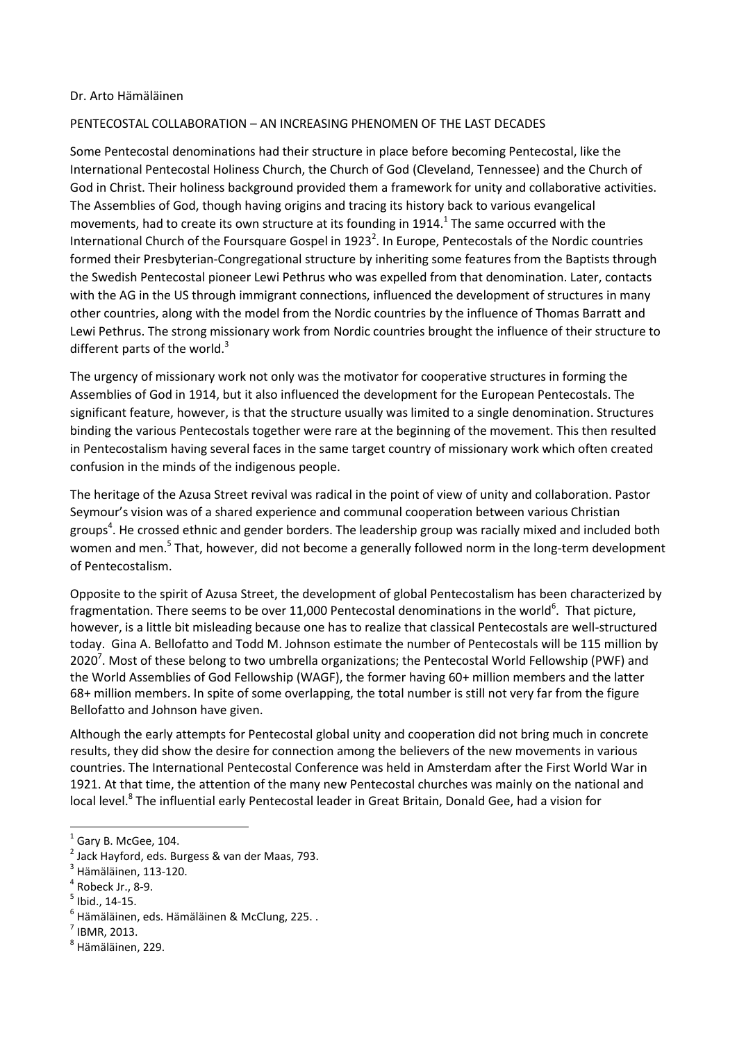### Dr. Arto Hämäläinen

## PENTECOSTAL COLLABORATION – AN INCREASING PHENOMEN OF THE LAST DECADES

Some Pentecostal denominations had their structure in place before becoming Pentecostal, like the International Pentecostal Holiness Church, the Church of God (Cleveland, Tennessee) and the Church of God in Christ. Their holiness background provided them a framework for unity and collaborative activities. The Assemblies of God, though having origins and tracing its history back to various evangelical movements, had to create its own structure at its founding in 1914. $^1$  The same occurred with the International Church of the Foursquare Gospel in 1923<sup>2</sup>. In Europe, Pentecostals of the Nordic countries formed their Presbyterian-Congregational structure by inheriting some features from the Baptists through the Swedish Pentecostal pioneer Lewi Pethrus who was expelled from that denomination. Later, contacts with the AG in the US through immigrant connections, influenced the development of structures in many other countries, along with the model from the Nordic countries by the influence of Thomas Barratt and Lewi Pethrus. The strong missionary work from Nordic countries brought the influence of their structure to different parts of the world. $3$ 

The urgency of missionary work not only was the motivator for cooperative structures in forming the Assemblies of God in 1914, but it also influenced the development for the European Pentecostals. The significant feature, however, is that the structure usually was limited to a single denomination. Structures binding the various Pentecostals together were rare at the beginning of the movement. This then resulted in Pentecostalism having several faces in the same target country of missionary work which often created confusion in the minds of the indigenous people.

The heritage of the Azusa Street revival was radical in the point of view of unity and collaboration. Pastor Seymour's vision was of a shared experience and communal cooperation between various Christian groups<sup>4</sup>. He crossed ethnic and gender borders. The leadership group was racially mixed and included both women and men.<sup>5</sup> That, however, did not become a generally followed norm in the long-term development of Pentecostalism.

Opposite to the spirit of Azusa Street, the development of global Pentecostalism has been characterized by fragmentation. There seems to be over 11,000 Pentecostal denominations in the world<sup>6</sup>. That picture, however, is a little bit misleading because one has to realize that classical Pentecostals are well-structured today. Gina A. Bellofatto and Todd M. Johnson estimate the number of Pentecostals will be 115 million by 2020<sup>7</sup>. Most of these belong to two umbrella organizations; the Pentecostal World Fellowship (PWF) and the World Assemblies of God Fellowship (WAGF), the former having 60+ million members and the latter 68+ million members. In spite of some overlapping, the total number is still not very far from the figure Bellofatto and Johnson have given.

Although the early attempts for Pentecostal global unity and cooperation did not bring much in concrete results, they did show the desire for connection among the believers of the new movements in various countries. The International Pentecostal Conference was held in Amsterdam after the First World War in 1921. At that time, the attention of the many new Pentecostal churches was mainly on the national and local level.<sup>8</sup> The influential early Pentecostal leader in Great Britain, Donald Gee, had a vision for

- $<sup>4</sup>$  Robeck Jr., 8-9.</sup>
- $<sup>5</sup>$  Ibid., 14-15.</sup>

 $<sup>1</sup>$  Gary B. McGee, 104.</sup>

<sup>2</sup> Jack Hayford, eds. Burgess & van der Maas, 793.

<sup>&</sup>lt;sup>3</sup> Hämäläinen, 113-120.

<sup>6</sup> Hämäläinen, eds. Hämäläinen & McClung, 225. .

 $<sup>7</sup>$  IBMR, 2013.</sup>

<sup>8</sup> Hämäläinen, 229.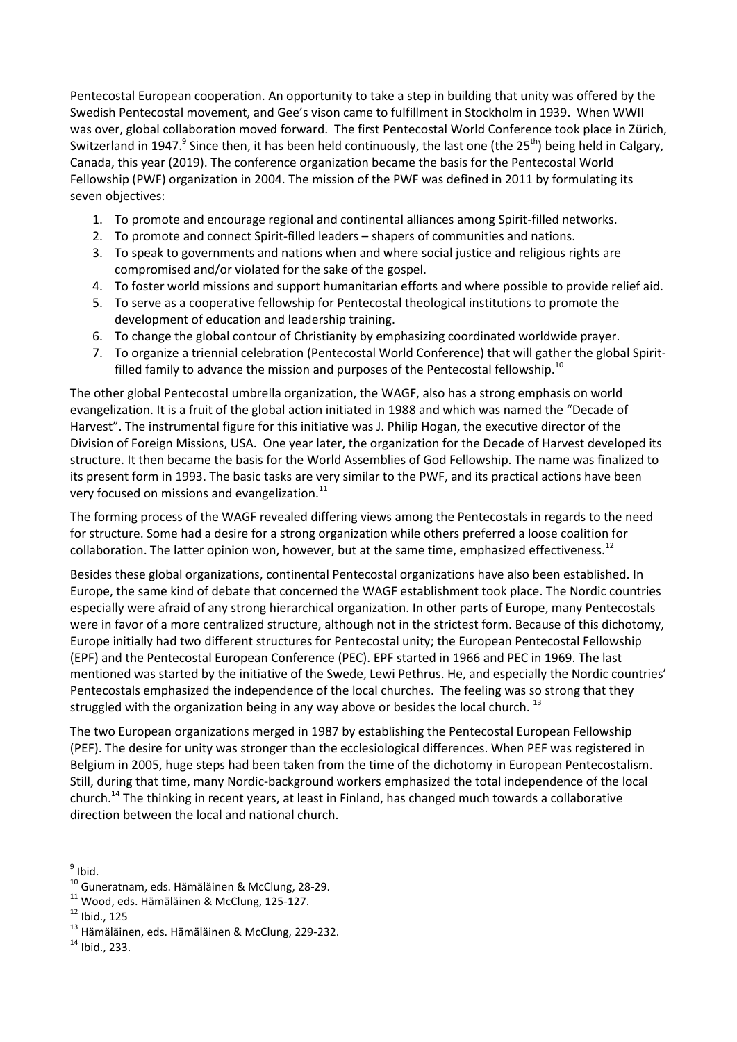Pentecostal European cooperation. An opportunity to take a step in building that unity was offered by the Swedish Pentecostal movement, and Gee's vison came to fulfillment in Stockholm in 1939. When WWII was over, global collaboration moved forward. The first Pentecostal World Conference took place in Zürich, Switzerland in 1947.<sup>9</sup> Since then, it has been held continuously, the last one (the 25<sup>th</sup>) being held in Calgary, Canada, this year (2019). The conference organization became the basis for the Pentecostal World Fellowship (PWF) organization in 2004. The mission of the PWF was defined in 2011 by formulating its seven objectives:

- 1. To promote and encourage regional and continental alliances among Spirit-filled networks.
- 2. To promote and connect Spirit-filled leaders shapers of communities and nations.
- 3. To speak to governments and nations when and where social justice and religious rights are compromised and/or violated for the sake of the gospel.
- 4. To foster world missions and support humanitarian efforts and where possible to provide relief aid.
- 5. To serve as a cooperative fellowship for Pentecostal theological institutions to promote the development of education and leadership training.
- 6. To change the global contour of Christianity by emphasizing coordinated worldwide prayer.
- 7. To organize a triennial celebration (Pentecostal World Conference) that will gather the global Spiritfilled family to advance the mission and purposes of the Pentecostal fellowship.<sup>10</sup>

The other global Pentecostal umbrella organization, the WAGF, also has a strong emphasis on world evangelization. It is a fruit of the global action initiated in 1988 and which was named the "Decade of Harvest". The instrumental figure for this initiative was J. Philip Hogan, the executive director of the Division of Foreign Missions, USA. One year later, the organization for the Decade of Harvest developed its structure. It then became the basis for the World Assemblies of God Fellowship. The name was finalized to its present form in 1993. The basic tasks are very similar to the PWF, and its practical actions have been very focused on missions and evangelization.<sup>11</sup>

The forming process of the WAGF revealed differing views among the Pentecostals in regards to the need for structure. Some had a desire for a strong organization while others preferred a loose coalition for collaboration. The latter opinion won, however, but at the same time, emphasized effectiveness.<sup>12</sup>

Besides these global organizations, continental Pentecostal organizations have also been established. In Europe, the same kind of debate that concerned the WAGF establishment took place. The Nordic countries especially were afraid of any strong hierarchical organization. In other parts of Europe, many Pentecostals were in favor of a more centralized structure, although not in the strictest form. Because of this dichotomy, Europe initially had two different structures for Pentecostal unity; the European Pentecostal Fellowship (EPF) and the Pentecostal European Conference (PEC). EPF started in 1966 and PEC in 1969. The last mentioned was started by the initiative of the Swede, Lewi Pethrus. He, and especially the Nordic countries' Pentecostals emphasized the independence of the local churches. The feeling was so strong that they struggled with the organization being in any way above or besides the local church.  $^{13}$ 

The two European organizations merged in 1987 by establishing the Pentecostal European Fellowship (PEF). The desire for unity was stronger than the ecclesiological differences. When PEF was registered in Belgium in 2005, huge steps had been taken from the time of the dichotomy in European Pentecostalism. Still, during that time, many Nordic-background workers emphasized the total independence of the local church.<sup>14</sup> The thinking in recent years, at least in Finland, has changed much towards a collaborative direction between the local and national church.

<sup>&</sup>lt;u>——</u><br><sup>9</sup> Ibid.

<sup>10</sup> Guneratnam, eds. Hämäläinen & McClung, 28-29.

<sup>11</sup> Wood, eds. Hämäläinen & McClung, 125-127.

 $12$  Ibid., 125

<sup>13</sup> Hämäläinen, eds. Hämäläinen & McClung, 229-232.

 $14$  Ibid., 233.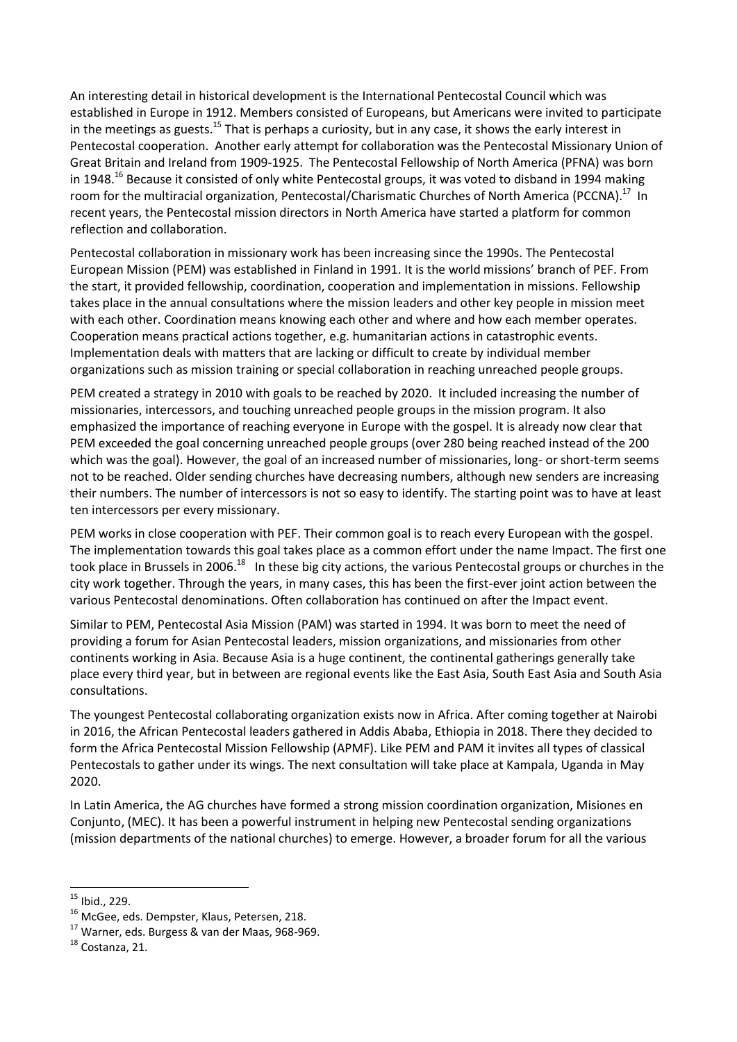An interesting detail in historical development is the International Pentecostal Council which was established in Europe in 1912. Members consisted of Europeans, but Americans were invited to participate in the meetings as guests.<sup>15</sup> That is perhaps a curiosity, but in any case, it shows the early interest in Pentecostal cooperation. Another early attempt for collaboration was the Pentecostal Missionary Union of Great Britain and Ireland from 1909-1925. The Pentecostal Fellowship of North America (PFNA) was born in 1948.<sup>16</sup> Because it consisted of only white Pentecostal groups, it was voted to disband in 1994 making room for the multiracial organization, Pentecostal/Charismatic Churches of North America (PCCNA).<sup>17</sup> In recent years, the Pentecostal mission directors in North America have started a platform for common reflection and collaboration.

Pentecostal collaboration in missionary work has been increasing since the 1990s. The Pentecostal European Mission (PEM) was established in Finland in 1991. It is the world missions' branch of PEF. From the start, it provided fellowship, coordination, cooperation and implementation in missions. Fellowship takes place in the annual consultations where the mission leaders and other key people in mission meet with each other. Coordination means knowing each other and where and how each member operates. Cooperation means practical actions together, e.g. humanitarian actions in catastrophic events. Implementation deals with matters that are lacking or difficult to create by individual member organizations such as mission training or special collaboration in reaching unreached people groups.

PEM created a strategy in 2010 with goals to be reached by 2020. It included increasing the number of missionaries, intercessors, and touching unreached people groups in the mission program. It also emphasized the importance of reaching everyone in Europe with the gospel. It is already now clear that PEM exceeded the goal concerning unreached people groups (over 280 being reached instead of the 200 which was the goal). However, the goal of an increased number of missionaries, long- or short-term seems not to be reached. Older sending churches have decreasing numbers, although new senders are increasing their numbers. The number of intercessors is not so easy to identify. The starting point was to have at least ten intercessors per every missionary.

PEM works in close cooperation with PEF. Their common goal is to reach every European with the gospel. The implementation towards this goal takes place as a common effort under the name Impact. The first one took place in Brussels in 2006.<sup>18</sup> In these big city actions, the various Pentecostal groups or churches in the city work together. Through the years, in many cases, this has been the first-ever joint action between the various Pentecostal denominations. Often collaboration has continued on after the Impact event.

Similar to PEM, Pentecostal Asia Mission (PAM) was started in 1994. It was born to meet the need of providing a forum for Asian Pentecostal leaders, mission organizations, and missionaries from other continents working in Asia. Because Asia is a huge continent, the continental gatherings generally take place every third year, but in between are regional events like the East Asia, South East Asia and South Asia consultations.

The youngest Pentecostal collaborating organization exists now in Africa. After coming together at Nairobi in 2016, the African Pentecostal leaders gathered in Addis Ababa, Ethiopia in 2018. There they decided to form the Africa Pentecostal Mission Fellowship (APMF). Like PEM and PAM it invites all types of classical Pentecostals to gather under its wings. The next consultation will take place at Kampala, Uganda in May 2020.

In Latin America, the AG churches have formed a strong mission coordination organization, Misiones en Conjunto, (MEC). It has been a powerful instrument in helping new Pentecostal sending organizations (mission departments of the national churches) to emerge. However, a broader forum for all the various

 $15$  Ibid., 229.

<sup>&</sup>lt;sup>16</sup> McGee, eds. Dempster, Klaus, Petersen, 218.

<sup>17</sup> Warner, eds. Burgess & van der Maas, 968-969.

<sup>&</sup>lt;sup>18</sup> Costanza, 21.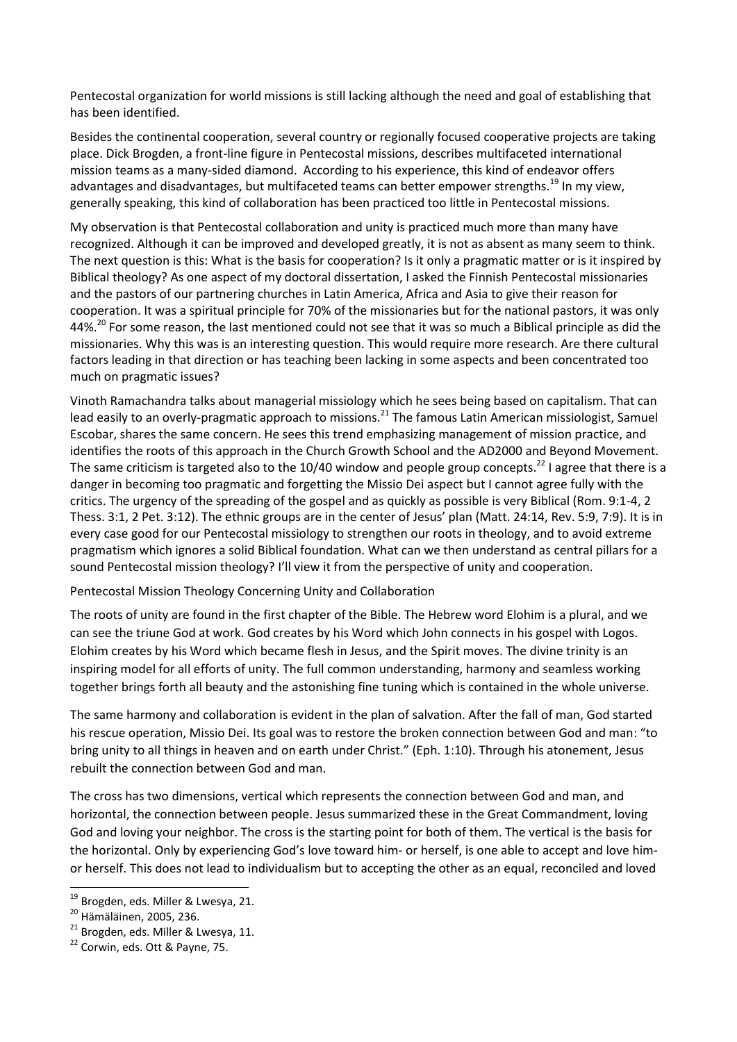Pentecostal organization for world missions is still lacking although the need and goal of establishing that has been identified.

Besides the continental cooperation, several country or regionally focused cooperative projects are taking place. Dick Brogden, a front-line figure in Pentecostal missions, describes multifaceted international mission teams as a many-sided diamond. According to his experience, this kind of endeavor offers advantages and disadvantages, but multifaceted teams can better empower strengths.<sup>19</sup> In my view, generally speaking, this kind of collaboration has been practiced too little in Pentecostal missions.

My observation is that Pentecostal collaboration and unity is practiced much more than many have recognized. Although it can be improved and developed greatly, it is not as absent as many seem to think. The next question is this: What is the basis for cooperation? Is it only a pragmatic matter or is it inspired by Biblical theology? As one aspect of my doctoral dissertation, I asked the Finnish Pentecostal missionaries and the pastors of our partnering churches in Latin America, Africa and Asia to give their reason for cooperation. It was a spiritual principle for 70% of the missionaries but for the national pastors, it was only 44%.<sup>20</sup> For some reason, the last mentioned could not see that it was so much a Biblical principle as did the missionaries. Why this was is an interesting question. This would require more research. Are there cultural factors leading in that direction or has teaching been lacking in some aspects and been concentrated too much on pragmatic issues?

Vinoth Ramachandra talks about managerial missiology which he sees being based on capitalism. That can lead easily to an overly-pragmatic approach to missions.<sup>21</sup> The famous Latin American missiologist, Samuel Escobar, shares the same concern. He sees this trend emphasizing management of mission practice, and identifies the roots of this approach in the Church Growth School and the AD2000 and Beyond Movement. The same criticism is targeted also to the 10/40 window and people group concepts.<sup>22</sup> I agree that there is a danger in becoming too pragmatic and forgetting the Missio Dei aspect but I cannot agree fully with the critics. The urgency of the spreading of the gospel and as quickly as possible is very Biblical (Rom. 9:1-4, 2 Thess. 3:1, 2 Pet. 3:12). The ethnic groups are in the center of Jesus' plan (Matt. 24:14, Rev. 5:9, 7:9). It is in every case good for our Pentecostal missiology to strengthen our roots in theology, and to avoid extreme pragmatism which ignores a solid Biblical foundation. What can we then understand as central pillars for a sound Pentecostal mission theology? I'll view it from the perspective of unity and cooperation.

Pentecostal Mission Theology Concerning Unity and Collaboration

The roots of unity are found in the first chapter of the Bible. The Hebrew word Elohim is a plural, and we can see the triune God at work. God creates by his Word which John connects in his gospel with Logos. Elohim creates by his Word which became flesh in Jesus, and the Spirit moves. The divine trinity is an inspiring model for all efforts of unity. The full common understanding, harmony and seamless working together brings forth all beauty and the astonishing fine tuning which is contained in the whole universe.

The same harmony and collaboration is evident in the plan of salvation. After the fall of man, God started his rescue operation, Missio Dei. Its goal was to restore the broken connection between God and man: "to bring unity to all things in heaven and on earth under Christ." (Eph. 1:10). Through his atonement, Jesus rebuilt the connection between God and man.

The cross has two dimensions, vertical which represents the connection between God and man, and horizontal, the connection between people. Jesus summarized these in the Great Commandment, loving God and loving your neighbor. The cross is the starting point for both of them. The vertical is the basis for the horizontal. Only by experiencing God's love toward him- or herself, is one able to accept and love himor herself. This does not lead to individualism but to accepting the other as an equal, reconciled and loved

<sup>&</sup>lt;sup>19</sup> Brogden, eds. Miller & Lwesya, 21.

<sup>20</sup> Hämäläinen, 2005, 236.

<sup>&</sup>lt;sup>21</sup> Brogden, eds. Miller & Lwesya, 11.

<sup>&</sup>lt;sup>22</sup> Corwin, eds. Ott & Payne, 75.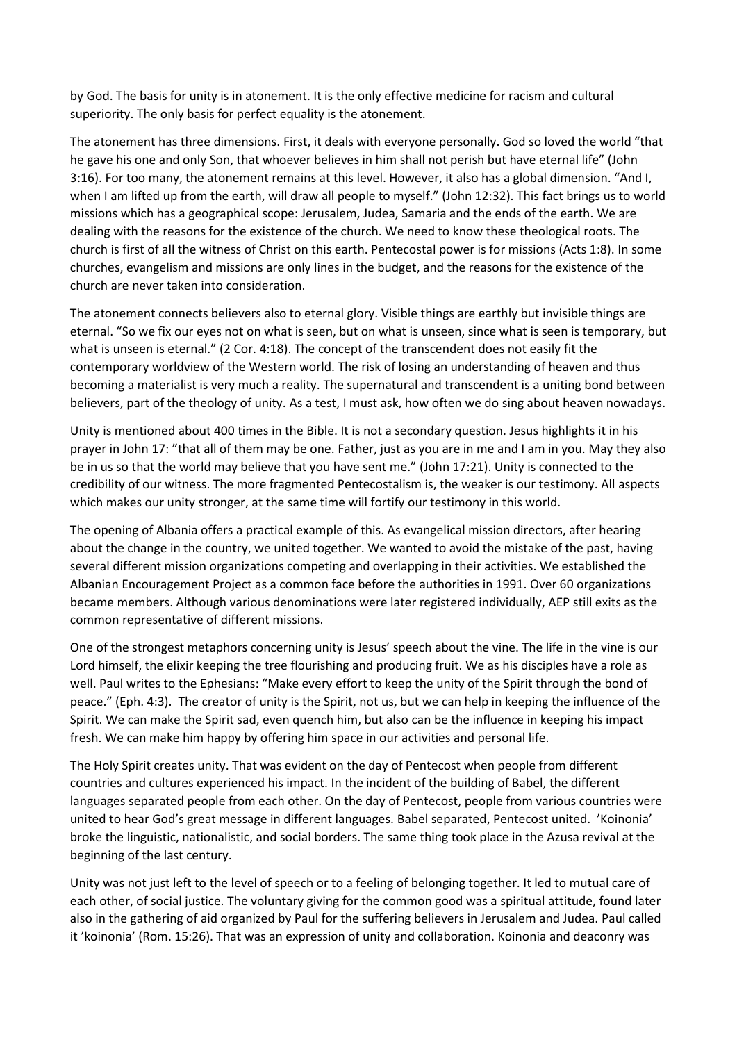by God. The basis for unity is in atonement. It is the only effective medicine for racism and cultural superiority. The only basis for perfect equality is the atonement.

The atonement has three dimensions. First, it deals with everyone personally. God so loved the world "that he gave his one and only Son, that whoever believes in him shall not perish but have eternal life" (John 3:16). For too many, the atonement remains at this level. However, it also has a global dimension. "And I, when I am lifted up from the earth, will draw all people to myself." (John 12:32). This fact brings us to world missions which has a geographical scope: Jerusalem, Judea, Samaria and the ends of the earth. We are dealing with the reasons for the existence of the church. We need to know these theological roots. The church is first of all the witness of Christ on this earth. Pentecostal power is for missions (Acts 1:8). In some churches, evangelism and missions are only lines in the budget, and the reasons for the existence of the church are never taken into consideration.

The atonement connects believers also to eternal glory. Visible things are earthly but invisible things are eternal. "So we fix our eyes not on what is seen, but on what is unseen, since what is seen is temporary, but what is unseen is eternal." (2 Cor. 4:18). The concept of the transcendent does not easily fit the contemporary worldview of the Western world. The risk of losing an understanding of heaven and thus becoming a materialist is very much a reality. The supernatural and transcendent is a uniting bond between believers, part of the theology of unity. As a test, I must ask, how often we do sing about heaven nowadays.

Unity is mentioned about 400 times in the Bible. It is not a secondary question. Jesus highlights it in his prayer in John 17: "that all of them may be one. Father, just as you are in me and I am in you. May they also be in us so that the world may believe that you have sent me." (John 17:21). Unity is connected to the credibility of our witness. The more fragmented Pentecostalism is, the weaker is our testimony. All aspects which makes our unity stronger, at the same time will fortify our testimony in this world.

The opening of Albania offers a practical example of this. As evangelical mission directors, after hearing about the change in the country, we united together. We wanted to avoid the mistake of the past, having several different mission organizations competing and overlapping in their activities. We established the Albanian Encouragement Project as a common face before the authorities in 1991. Over 60 organizations became members. Although various denominations were later registered individually, AEP still exits as the common representative of different missions.

One of the strongest metaphors concerning unity is Jesus' speech about the vine. The life in the vine is our Lord himself, the elixir keeping the tree flourishing and producing fruit. We as his disciples have a role as well. Paul writes to the Ephesians: "Make every effort to keep the unity of the Spirit through the bond of peace." (Eph. 4:3). The creator of unity is the Spirit, not us, but we can help in keeping the influence of the Spirit. We can make the Spirit sad, even quench him, but also can be the influence in keeping his impact fresh. We can make him happy by offering him space in our activities and personal life.

The Holy Spirit creates unity. That was evident on the day of Pentecost when people from different countries and cultures experienced his impact. In the incident of the building of Babel, the different languages separated people from each other. On the day of Pentecost, people from various countries were united to hear God's great message in different languages. Babel separated, Pentecost united. 'Koinonia' broke the linguistic, nationalistic, and social borders. The same thing took place in the Azusa revival at the beginning of the last century.

Unity was not just left to the level of speech or to a feeling of belonging together. It led to mutual care of each other, of social justice. The voluntary giving for the common good was a spiritual attitude, found later also in the gathering of aid organized by Paul for the suffering believers in Jerusalem and Judea. Paul called it 'koinonia' (Rom. 15:26). That was an expression of unity and collaboration. Koinonia and deaconry was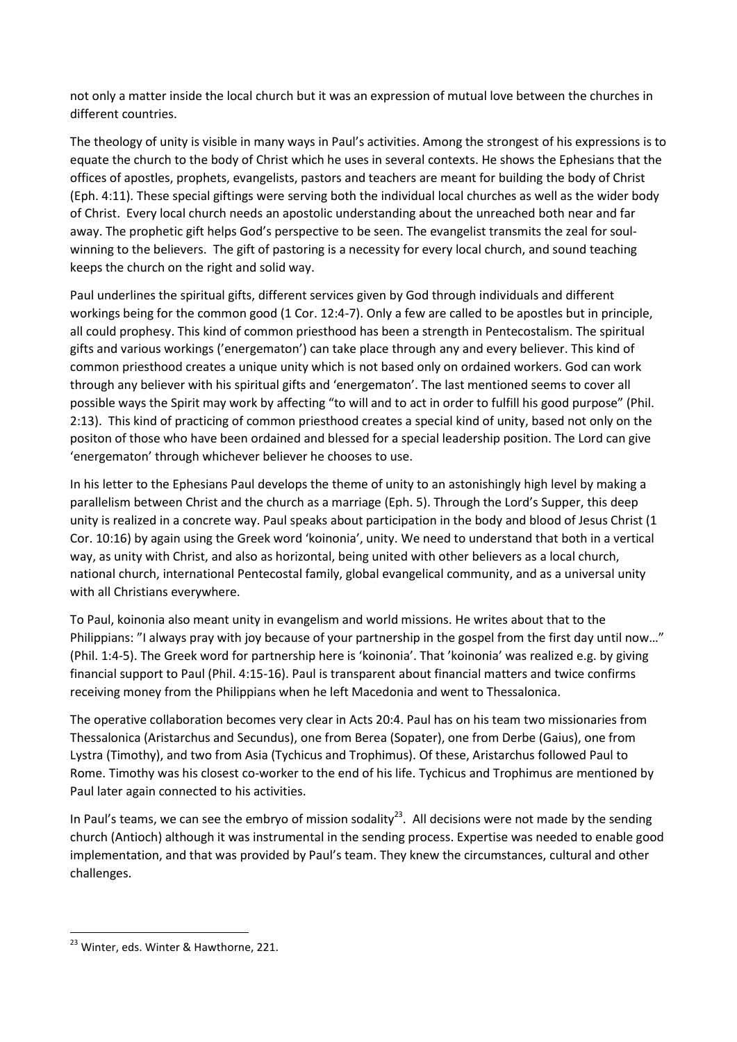not only a matter inside the local church but it was an expression of mutual love between the churches in different countries.

The theology of unity is visible in many ways in Paul's activities. Among the strongest of his expressions is to equate the church to the body of Christ which he uses in several contexts. He shows the Ephesians that the offices of apostles, prophets, evangelists, pastors and teachers are meant for building the body of Christ (Eph. 4:11). These special giftings were serving both the individual local churches as well as the wider body of Christ. Every local church needs an apostolic understanding about the unreached both near and far away. The prophetic gift helps God's perspective to be seen. The evangelist transmits the zeal for soulwinning to the believers. The gift of pastoring is a necessity for every local church, and sound teaching keeps the church on the right and solid way.

Paul underlines the spiritual gifts, different services given by God through individuals and different workings being for the common good (1 Cor. 12:4-7). Only a few are called to be apostles but in principle, all could prophesy. This kind of common priesthood has been a strength in Pentecostalism. The spiritual gifts and various workings ('energematon') can take place through any and every believer. This kind of common priesthood creates a unique unity which is not based only on ordained workers. God can work through any believer with his spiritual gifts and 'energematon'. The last mentioned seems to cover all possible ways the Spirit may work by affecting "to will and to act in order to fulfill his good purpose" (Phil. 2:13). This kind of practicing of common priesthood creates a special kind of unity, based not only on the positon of those who have been ordained and blessed for a special leadership position. The Lord can give 'energematon' through whichever believer he chooses to use.

In his letter to the Ephesians Paul develops the theme of unity to an astonishingly high level by making a parallelism between Christ and the church as a marriage (Eph. 5). Through the Lord's Supper, this deep unity is realized in a concrete way. Paul speaks about participation in the body and blood of Jesus Christ (1 Cor. 10:16) by again using the Greek word 'koinonia', unity. We need to understand that both in a vertical way, as unity with Christ, and also as horizontal, being united with other believers as a local church, national church, international Pentecostal family, global evangelical community, and as a universal unity with all Christians everywhere.

To Paul, koinonia also meant unity in evangelism and world missions. He writes about that to the Philippians: "I always pray with joy because of your partnership in the gospel from the first day until now…" (Phil. 1:4-5). The Greek word for partnership here is 'koinonia'. That 'koinonia' was realized e.g. by giving financial support to Paul (Phil. 4:15-16). Paul is transparent about financial matters and twice confirms receiving money from the Philippians when he left Macedonia and went to Thessalonica.

The operative collaboration becomes very clear in Acts 20:4. Paul has on his team two missionaries from Thessalonica (Aristarchus and Secundus), one from Berea (Sopater), one from Derbe (Gaius), one from Lystra (Timothy), and two from Asia (Tychicus and Trophimus). Of these, Aristarchus followed Paul to Rome. Timothy was his closest co-worker to the end of his life. Tychicus and Trophimus are mentioned by Paul later again connected to his activities.

In Paul's teams, we can see the embryo of mission sodality<sup>23</sup>. All decisions were not made by the sending church (Antioch) although it was instrumental in the sending process. Expertise was needed to enable good implementation, and that was provided by Paul's team. They knew the circumstances, cultural and other challenges.

<sup>&</sup>lt;sup>23</sup> Winter, eds. Winter & Hawthorne, 221.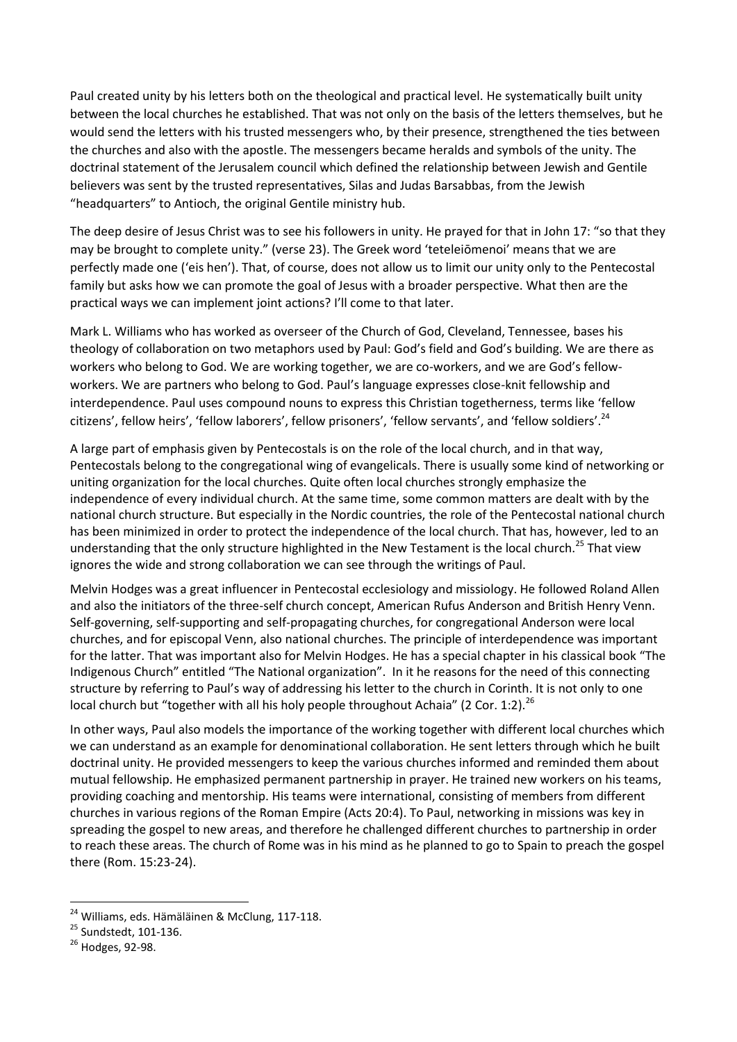Paul created unity by his letters both on the theological and practical level. He systematically built unity between the local churches he established. That was not only on the basis of the letters themselves, but he would send the letters with his trusted messengers who, by their presence, strengthened the ties between the churches and also with the apostle. The messengers became heralds and symbols of the unity. The doctrinal statement of the Jerusalem council which defined the relationship between Jewish and Gentile believers was sent by the trusted representatives, Silas and Judas Barsabbas, from the Jewish "headquarters" to Antioch, the original Gentile ministry hub.

The deep desire of Jesus Christ was to see his followers in unity. He prayed for that in John 17: "so that they may be brought to complete unity." (verse 23). The Greek word 'teteleiōmenoi' means that we are perfectly made one ('eis hen'). That, of course, does not allow us to limit our unity only to the Pentecostal family but asks how we can promote the goal of Jesus with a broader perspective. What then are the practical ways we can implement joint actions? I'll come to that later.

Mark L. Williams who has worked as overseer of the Church of God, Cleveland, Tennessee, bases his theology of collaboration on two metaphors used by Paul: God's field and God's building. We are there as workers who belong to God. We are working together, we are co-workers, and we are God's fellowworkers. We are partners who belong to God. Paul's language expresses close-knit fellowship and interdependence. Paul uses compound nouns to express this Christian togetherness, terms like 'fellow citizens', fellow heirs', 'fellow laborers', fellow prisoners', 'fellow servants', and 'fellow soldiers'.<sup>24</sup>

A large part of emphasis given by Pentecostals is on the role of the local church, and in that way, Pentecostals belong to the congregational wing of evangelicals. There is usually some kind of networking or uniting organization for the local churches. Quite often local churches strongly emphasize the independence of every individual church. At the same time, some common matters are dealt with by the national church structure. But especially in the Nordic countries, the role of the Pentecostal national church has been minimized in order to protect the independence of the local church. That has, however, led to an understanding that the only structure highlighted in the New Testament is the local church.<sup>25</sup> That view ignores the wide and strong collaboration we can see through the writings of Paul.

Melvin Hodges was a great influencer in Pentecostal ecclesiology and missiology. He followed Roland Allen and also the initiators of the three-self church concept, American Rufus Anderson and British Henry Venn. Self-governing, self-supporting and self-propagating churches, for congregational Anderson were local churches, and for episcopal Venn, also national churches. The principle of interdependence was important for the latter. That was important also for Melvin Hodges. He has a special chapter in his classical book "The Indigenous Church" entitled "The National organization". In it he reasons for the need of this connecting structure by referring to Paul's way of addressing his letter to the church in Corinth. It is not only to one local church but "together with all his holy people throughout Achaia" (2 Cor. 1:2). $^{26}$ 

In other ways, Paul also models the importance of the working together with different local churches which we can understand as an example for denominational collaboration. He sent letters through which he built doctrinal unity. He provided messengers to keep the various churches informed and reminded them about mutual fellowship. He emphasized permanent partnership in prayer. He trained new workers on his teams, providing coaching and mentorship. His teams were international, consisting of members from different churches in various regions of the Roman Empire (Acts 20:4). To Paul, networking in missions was key in spreading the gospel to new areas, and therefore he challenged different churches to partnership in order to reach these areas. The church of Rome was in his mind as he planned to go to Spain to preach the gospel there (Rom. 15:23-24).

<sup>&</sup>lt;sup>24</sup> Williams, eds. Hämäläinen & McClung, 117-118.

<sup>&</sup>lt;sup>25</sup> Sundstedt, 101-136.

<sup>&</sup>lt;sup>26</sup> Hodges, 92-98.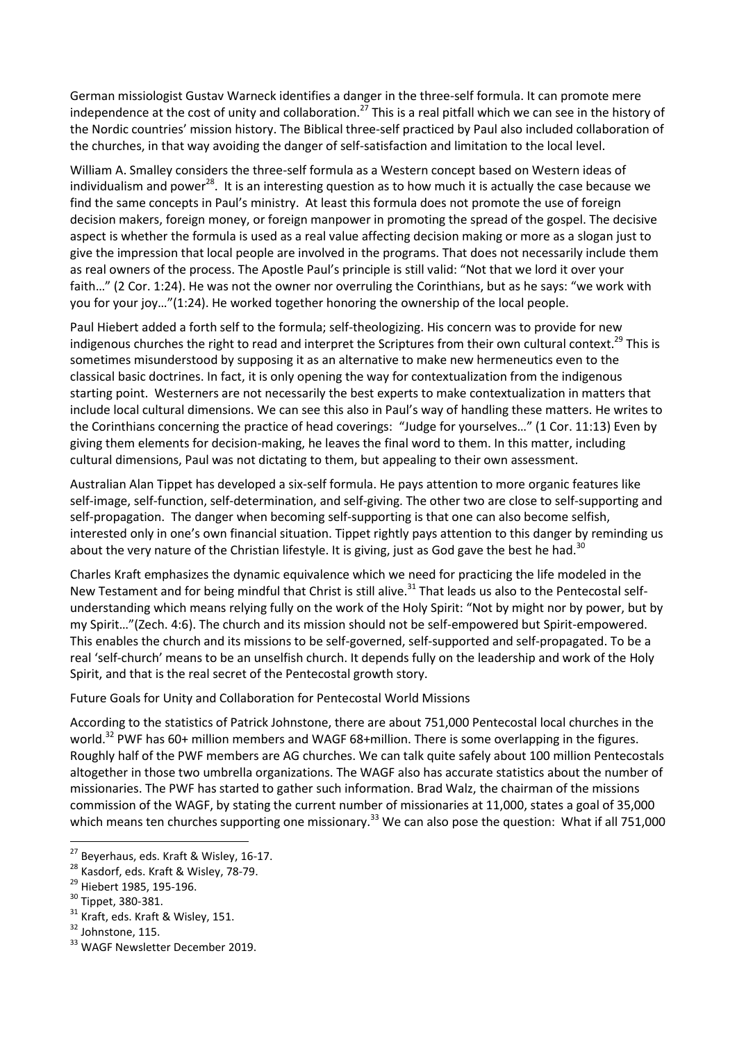German missiologist Gustav Warneck identifies a danger in the three-self formula. It can promote mere independence at the cost of unity and collaboration.<sup>27</sup> This is a real pitfall which we can see in the history of the Nordic countries' mission history. The Biblical three-self practiced by Paul also included collaboration of the churches, in that way avoiding the danger of self-satisfaction and limitation to the local level.

William A. Smalley considers the three-self formula as a Western concept based on Western ideas of individualism and power<sup>28</sup>. It is an interesting question as to how much it is actually the case because we find the same concepts in Paul's ministry. At least this formula does not promote the use of foreign decision makers, foreign money, or foreign manpower in promoting the spread of the gospel. The decisive aspect is whether the formula is used as a real value affecting decision making or more as a slogan just to give the impression that local people are involved in the programs. That does not necessarily include them as real owners of the process. The Apostle Paul's principle is still valid: "Not that we lord it over your faith…" (2 Cor. 1:24). He was not the owner nor overruling the Corinthians, but as he says: "we work with you for your joy…"(1:24). He worked together honoring the ownership of the local people.

Paul Hiebert added a forth self to the formula; self-theologizing. His concern was to provide for new indigenous churches the right to read and interpret the Scriptures from their own cultural context.<sup>29</sup> This is sometimes misunderstood by supposing it as an alternative to make new hermeneutics even to the classical basic doctrines. In fact, it is only opening the way for contextualization from the indigenous starting point. Westerners are not necessarily the best experts to make contextualization in matters that include local cultural dimensions. We can see this also in Paul's way of handling these matters. He writes to the Corinthians concerning the practice of head coverings: "Judge for yourselves…" (1 Cor. 11:13) Even by giving them elements for decision-making, he leaves the final word to them. In this matter, including cultural dimensions, Paul was not dictating to them, but appealing to their own assessment.

Australian Alan Tippet has developed a six-self formula. He pays attention to more organic features like self-image, self-function, self-determination, and self-giving. The other two are close to self-supporting and self-propagation. The danger when becoming self-supporting is that one can also become selfish, interested only in one's own financial situation. Tippet rightly pays attention to this danger by reminding us about the very nature of the Christian lifestyle. It is giving, just as God gave the best he had.<sup>30</sup>

Charles Kraft emphasizes the dynamic equivalence which we need for practicing the life modeled in the New Testament and for being mindful that Christ is still alive.<sup>31</sup> That leads us also to the Pentecostal selfunderstanding which means relying fully on the work of the Holy Spirit: "Not by might nor by power, but by my Spirit…"(Zech. 4:6). The church and its mission should not be self-empowered but Spirit-empowered. This enables the church and its missions to be self-governed, self-supported and self-propagated. To be a real 'self-church' means to be an unselfish church. It depends fully on the leadership and work of the Holy Spirit, and that is the real secret of the Pentecostal growth story.

Future Goals for Unity and Collaboration for Pentecostal World Missions

According to the statistics of Patrick Johnstone, there are about 751,000 Pentecostal local churches in the world.<sup>32</sup> PWF has 60+ million members and WAGF 68+million. There is some overlapping in the figures. Roughly half of the PWF members are AG churches. We can talk quite safely about 100 million Pentecostals altogether in those two umbrella organizations. The WAGF also has accurate statistics about the number of missionaries. The PWF has started to gather such information. Brad Walz, the chairman of the missions commission of the WAGF, by stating the current number of missionaries at 11,000, states a goal of 35,000 which means ten churches supporting one missionary.<sup>33</sup> We can also pose the question: What if all 751,000

<sup>&</sup>lt;sup>27</sup> Beyerhaus, eds. Kraft & Wisley, 16-17.

<sup>&</sup>lt;sup>28</sup> Kasdorf, eds. Kraft & Wisley, 78-79.

<sup>&</sup>lt;sup>29</sup> Hiebert 1985, 195-196.

<sup>30</sup> Tippet, 380-381.

 $31$  Kraft, eds. Kraft & Wisley, 151.

<sup>&</sup>lt;sup>32</sup> Johnstone, 115.

<sup>&</sup>lt;sup>33</sup> WAGF Newsletter December 2019.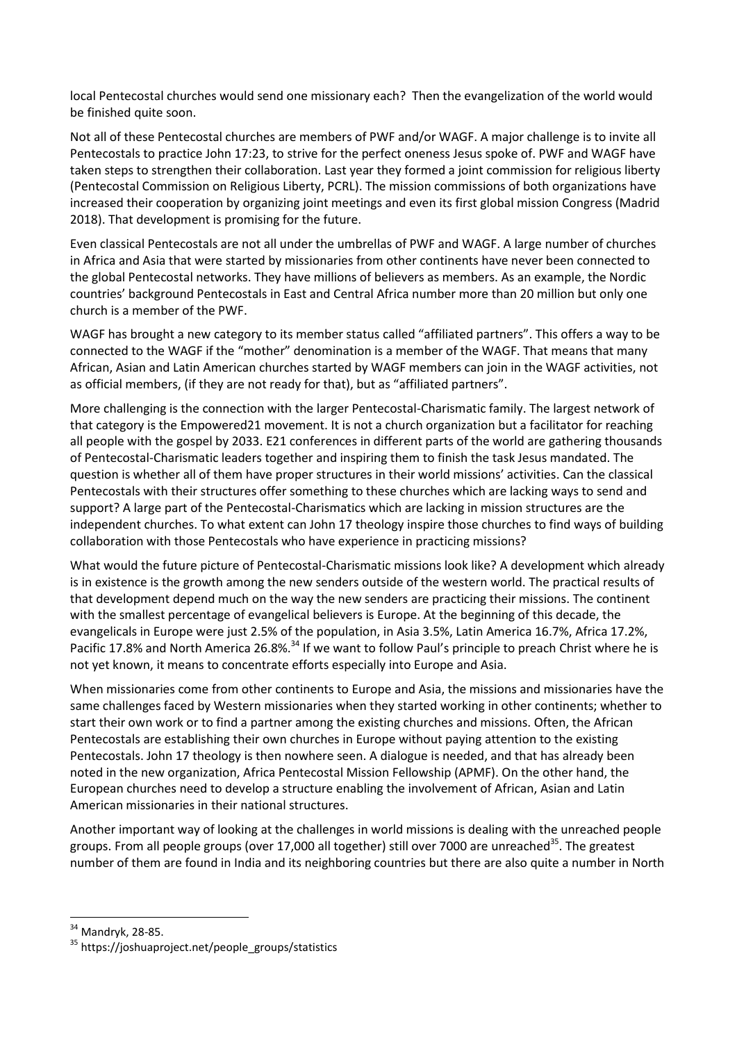local Pentecostal churches would send one missionary each? Then the evangelization of the world would be finished quite soon.

Not all of these Pentecostal churches are members of PWF and/or WAGF. A major challenge is to invite all Pentecostals to practice John 17:23, to strive for the perfect oneness Jesus spoke of. PWF and WAGF have taken steps to strengthen their collaboration. Last year they formed a joint commission for religious liberty (Pentecostal Commission on Religious Liberty, PCRL). The mission commissions of both organizations have increased their cooperation by organizing joint meetings and even its first global mission Congress (Madrid 2018). That development is promising for the future.

Even classical Pentecostals are not all under the umbrellas of PWF and WAGF. A large number of churches in Africa and Asia that were started by missionaries from other continents have never been connected to the global Pentecostal networks. They have millions of believers as members. As an example, the Nordic countries' background Pentecostals in East and Central Africa number more than 20 million but only one church is a member of the PWF.

WAGF has brought a new category to its member status called "affiliated partners". This offers a way to be connected to the WAGF if the "mother" denomination is a member of the WAGF. That means that many African, Asian and Latin American churches started by WAGF members can join in the WAGF activities, not as official members, (if they are not ready for that), but as "affiliated partners".

More challenging is the connection with the larger Pentecostal-Charismatic family. The largest network of that category is the Empowered21 movement. It is not a church organization but a facilitator for reaching all people with the gospel by 2033. E21 conferences in different parts of the world are gathering thousands of Pentecostal-Charismatic leaders together and inspiring them to finish the task Jesus mandated. The question is whether all of them have proper structures in their world missions' activities. Can the classical Pentecostals with their structures offer something to these churches which are lacking ways to send and support? A large part of the Pentecostal-Charismatics which are lacking in mission structures are the independent churches. To what extent can John 17 theology inspire those churches to find ways of building collaboration with those Pentecostals who have experience in practicing missions?

What would the future picture of Pentecostal-Charismatic missions look like? A development which already is in existence is the growth among the new senders outside of the western world. The practical results of that development depend much on the way the new senders are practicing their missions. The continent with the smallest percentage of evangelical believers is Europe. At the beginning of this decade, the evangelicals in Europe were just 2.5% of the population, in Asia 3.5%, Latin America 16.7%, Africa 17.2%, Pacific 17.8% and North America 26.8%.<sup>34</sup> If we want to follow Paul's principle to preach Christ where he is not yet known, it means to concentrate efforts especially into Europe and Asia.

When missionaries come from other continents to Europe and Asia, the missions and missionaries have the same challenges faced by Western missionaries when they started working in other continents; whether to start their own work or to find a partner among the existing churches and missions. Often, the African Pentecostals are establishing their own churches in Europe without paying attention to the existing Pentecostals. John 17 theology is then nowhere seen. A dialogue is needed, and that has already been noted in the new organization, Africa Pentecostal Mission Fellowship (APMF). On the other hand, the European churches need to develop a structure enabling the involvement of African, Asian and Latin American missionaries in their national structures.

Another important way of looking at the challenges in world missions is dealing with the unreached people groups. From all people groups (over 17,000 all together) still over 7000 are unreached<sup>35</sup>. The greatest number of them are found in India and its neighboring countries but there are also quite a number in North

<sup>&</sup>lt;sup>34</sup> Mandryk, 28-85.

<sup>35</sup> https://joshuaproject.net/people\_groups/statistics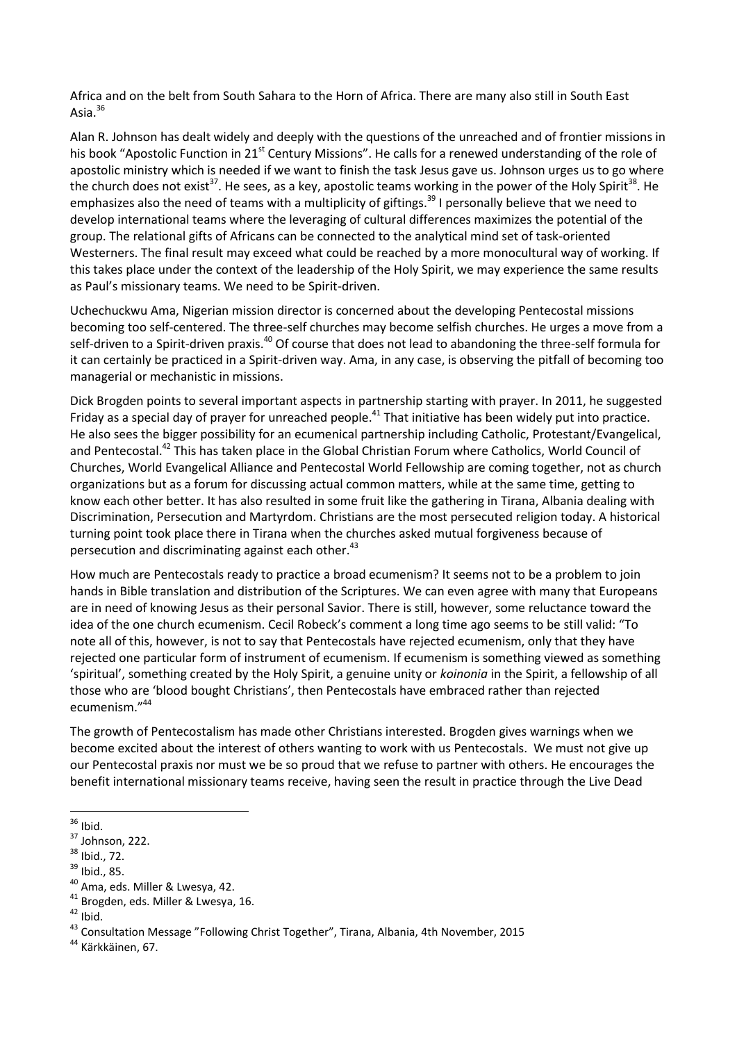Africa and on the belt from South Sahara to the Horn of Africa. There are many also still in South East Asia. $36$ 

Alan R. Johnson has dealt widely and deeply with the questions of the unreached and of frontier missions in his book "Apostolic Function in 21<sup>st</sup> Century Missions". He calls for a renewed understanding of the role of apostolic ministry which is needed if we want to finish the task Jesus gave us. Johnson urges us to go where the church does not exist<sup>37</sup>. He sees, as a key, apostolic teams working in the power of the Holy Spirit<sup>38</sup>. He emphasizes also the need of teams with a multiplicity of giftings.<sup>39</sup> I personally believe that we need to develop international teams where the leveraging of cultural differences maximizes the potential of the group. The relational gifts of Africans can be connected to the analytical mind set of task-oriented Westerners. The final result may exceed what could be reached by a more monocultural way of working. If this takes place under the context of the leadership of the Holy Spirit, we may experience the same results as Paul's missionary teams. We need to be Spirit-driven.

Uchechuckwu Ama, Nigerian mission director is concerned about the developing Pentecostal missions becoming too self-centered. The three-self churches may become selfish churches. He urges a move from a self-driven to a Spirit-driven praxis.<sup>40</sup> Of course that does not lead to abandoning the three-self formula for it can certainly be practiced in a Spirit-driven way. Ama, in any case, is observing the pitfall of becoming too managerial or mechanistic in missions.

Dick Brogden points to several important aspects in partnership starting with prayer. In 2011, he suggested Friday as a special day of prayer for unreached people.<sup>41</sup> That initiative has been widely put into practice. He also sees the bigger possibility for an ecumenical partnership including Catholic, Protestant/Evangelical, and Pentecostal.<sup>42</sup> This has taken place in the Global Christian Forum where Catholics, World Council of Churches, World Evangelical Alliance and Pentecostal World Fellowship are coming together, not as church organizations but as a forum for discussing actual common matters, while at the same time, getting to know each other better. It has also resulted in some fruit like the gathering in Tirana, Albania dealing with Discrimination, Persecution and Martyrdom. Christians are the most persecuted religion today. A historical turning point took place there in Tirana when the churches asked mutual forgiveness because of persecution and discriminating against each other.<sup>43</sup>

How much are Pentecostals ready to practice a broad ecumenism? It seems not to be a problem to join hands in Bible translation and distribution of the Scriptures. We can even agree with many that Europeans are in need of knowing Jesus as their personal Savior. There is still, however, some reluctance toward the idea of the one church ecumenism. Cecil Robeck's comment a long time ago seems to be still valid: "To note all of this, however, is not to say that Pentecostals have rejected ecumenism, only that they have rejected one particular form of instrument of ecumenism. If ecumenism is something viewed as something 'spiritual', something created by the Holy Spirit, a genuine unity or *koinonia* in the Spirit, a fellowship of all those who are 'blood bought Christians', then Pentecostals have embraced rather than rejected ecumenism." 44

The growth of Pentecostalism has made other Christians interested. Brogden gives warnings when we become excited about the interest of others wanting to work with us Pentecostals. We must not give up our Pentecostal praxis nor must we be so proud that we refuse to partner with others. He encourages the benefit international missionary teams receive, having seen the result in practice through the Live Dead

<sup>1</sup>  $36$  Ibid.

 $37$  Johnson, 222.

<sup>38</sup> Ibid., 72.

 $39$  Ibid., 85.

<sup>40</sup> Ama, eds. Miller & Lwesya, 42.

<sup>41</sup> Brogden, eds. Miller & Lwesya, 16.

 $42$  Ibid.

<sup>43</sup> Consultation Message "Following Christ Together", Tirana, Albania, 4th November, 2015

<sup>&</sup>lt;sup>44</sup> Kärkkäinen, 67.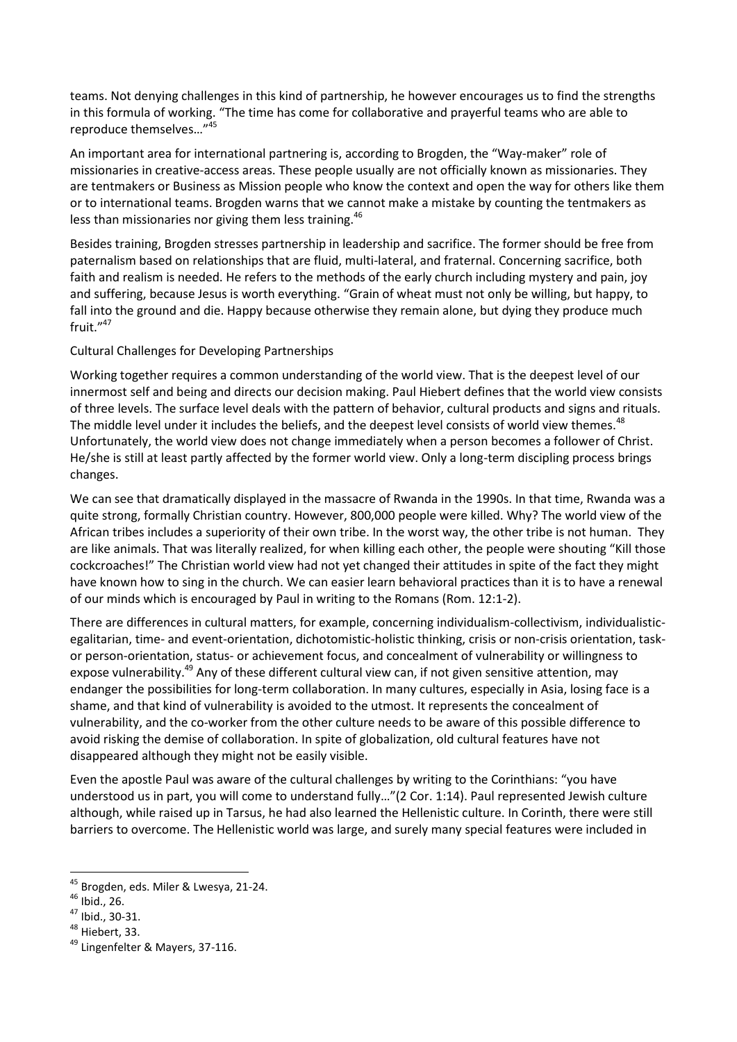teams. Not denying challenges in this kind of partnership, he however encourages us to find the strengths in this formula of working. "The time has come for collaborative and prayerful teams who are able to reproduce themselves…"<sup>45</sup>

An important area for international partnering is, according to Brogden, the "Way-maker" role of missionaries in creative-access areas. These people usually are not officially known as missionaries. They are tentmakers or Business as Mission people who know the context and open the way for others like them or to international teams. Brogden warns that we cannot make a mistake by counting the tentmakers as less than missionaries nor giving them less training.<sup>46</sup>

Besides training, Brogden stresses partnership in leadership and sacrifice. The former should be free from paternalism based on relationships that are fluid, multi-lateral, and fraternal. Concerning sacrifice, both faith and realism is needed. He refers to the methods of the early church including mystery and pain, joy and suffering, because Jesus is worth everything. "Grain of wheat must not only be willing, but happy, to fall into the ground and die. Happy because otherwise they remain alone, but dying they produce much fruit."47

# Cultural Challenges for Developing Partnerships

Working together requires a common understanding of the world view. That is the deepest level of our innermost self and being and directs our decision making. Paul Hiebert defines that the world view consists of three levels. The surface level deals with the pattern of behavior, cultural products and signs and rituals. The middle level under it includes the beliefs, and the deepest level consists of world view themes.<sup>48</sup> Unfortunately, the world view does not change immediately when a person becomes a follower of Christ. He/she is still at least partly affected by the former world view. Only a long-term discipling process brings changes.

We can see that dramatically displayed in the massacre of Rwanda in the 1990s. In that time, Rwanda was a quite strong, formally Christian country. However, 800,000 people were killed. Why? The world view of the African tribes includes a superiority of their own tribe. In the worst way, the other tribe is not human. They are like animals. That was literally realized, for when killing each other, the people were shouting "Kill those cockcroaches!" The Christian world view had not yet changed their attitudes in spite of the fact they might have known how to sing in the church. We can easier learn behavioral practices than it is to have a renewal of our minds which is encouraged by Paul in writing to the Romans (Rom. 12:1-2).

There are differences in cultural matters, for example, concerning individualism-collectivism, individualisticegalitarian, time- and event-orientation, dichotomistic-holistic thinking, crisis or non-crisis orientation, taskor person-orientation, status- or achievement focus, and concealment of vulnerability or willingness to expose vulnerability.<sup>49</sup> Any of these different cultural view can, if not given sensitive attention, may endanger the possibilities for long-term collaboration. In many cultures, especially in Asia, losing face is a shame, and that kind of vulnerability is avoided to the utmost. It represents the concealment of vulnerability, and the co-worker from the other culture needs to be aware of this possible difference to avoid risking the demise of collaboration. In spite of globalization, old cultural features have not disappeared although they might not be easily visible.

Even the apostle Paul was aware of the cultural challenges by writing to the Corinthians: "you have understood us in part, you will come to understand fully…"(2 Cor. 1:14). Paul represented Jewish culture although, while raised up in Tarsus, he had also learned the Hellenistic culture. In Corinth, there were still barriers to overcome. The Hellenistic world was large, and surely many special features were included in

<sup>&</sup>lt;sup>45</sup> Brogden, eds. Miler & Lwesya, 21-24.

<sup>46</sup> Ibid., 26.

<sup>47</sup> Ibid., 30-31.

<sup>48</sup> Hiebert, 33.

<sup>49</sup> Lingenfelter & Mayers, 37-116.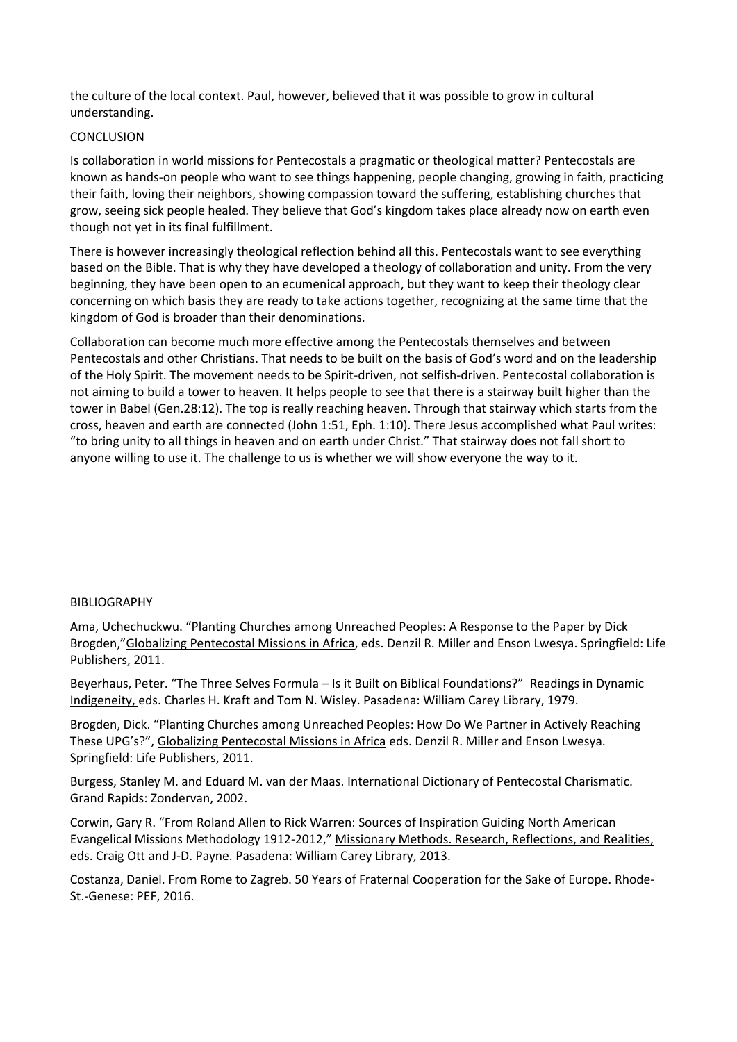the culture of the local context. Paul, however, believed that it was possible to grow in cultural understanding.

### **CONCLUSION**

Is collaboration in world missions for Pentecostals a pragmatic or theological matter? Pentecostals are known as hands-on people who want to see things happening, people changing, growing in faith, practicing their faith, loving their neighbors, showing compassion toward the suffering, establishing churches that grow, seeing sick people healed. They believe that God's kingdom takes place already now on earth even though not yet in its final fulfillment.

There is however increasingly theological reflection behind all this. Pentecostals want to see everything based on the Bible. That is why they have developed a theology of collaboration and unity. From the very beginning, they have been open to an ecumenical approach, but they want to keep their theology clear concerning on which basis they are ready to take actions together, recognizing at the same time that the kingdom of God is broader than their denominations.

Collaboration can become much more effective among the Pentecostals themselves and between Pentecostals and other Christians. That needs to be built on the basis of God's word and on the leadership of the Holy Spirit. The movement needs to be Spirit-driven, not selfish-driven. Pentecostal collaboration is not aiming to build a tower to heaven. It helps people to see that there is a stairway built higher than the tower in Babel (Gen.28:12). The top is really reaching heaven. Through that stairway which starts from the cross, heaven and earth are connected (John 1:51, Eph. 1:10). There Jesus accomplished what Paul writes: "to bring unity to all things in heaven and on earth under Christ." That stairway does not fall short to anyone willing to use it. The challenge to us is whether we will show everyone the way to it.

## BIBLIOGRAPHY

Ama, Uchechuckwu. "Planting Churches among Unreached Peoples: A Response to the Paper by Dick Brogden,"Globalizing Pentecostal Missions in Africa, eds. Denzil R. Miller and Enson Lwesya. Springfield: Life Publishers, 2011.

Beyerhaus, Peter. "The Three Selves Formula – Is it Built on Biblical Foundations?" Readings in Dynamic Indigeneity, eds. Charles H. Kraft and Tom N. Wisley. Pasadena: William Carey Library, 1979.

Brogden, Dick. "Planting Churches among Unreached Peoples: How Do We Partner in Actively Reaching These UPG's?", Globalizing Pentecostal Missions in Africa eds. Denzil R. Miller and Enson Lwesya. Springfield: Life Publishers, 2011.

Burgess, Stanley M. and Eduard M. van der Maas. International Dictionary of Pentecostal Charismatic. Grand Rapids: Zondervan, 2002.

Corwin, Gary R. "From Roland Allen to Rick Warren: Sources of Inspiration Guiding North American Evangelical Missions Methodology 1912-2012," Missionary Methods. Research, Reflections, and Realities, eds. Craig Ott and J-D. Payne. Pasadena: William Carey Library, 2013.

Costanza, Daniel. From Rome to Zagreb. 50 Years of Fraternal Cooperation for the Sake of Europe. Rhode-St.-Genese: PEF, 2016.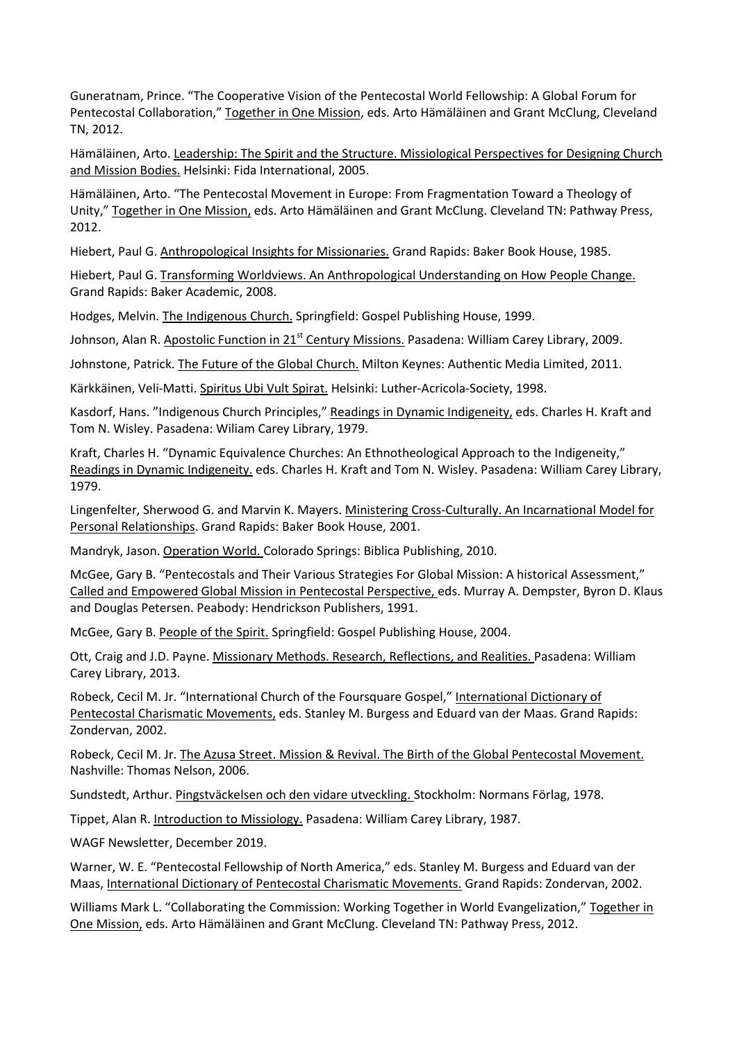Guneratnam, Prince. "The Cooperative Vision of the Pentecostal World Fellowship: A Global Forum for Pentecostal Collaboration," Together in One Mission, eds. Arto Hämäläinen and Grant McClung, Cleveland TN, 2012.

Hämäläinen, Arto. Leadership: The Spirit and the Structure. Missiological Perspectives for Designing Church and Mission Bodies. Helsinki: Fida International, 2005.

Hämäläinen, Arto. "The Pentecostal Movement in Europe: From Fragmentation Toward a Theology of Unity," Together in One Mission, eds. Arto Hämäläinen and Grant McClung. Cleveland TN: Pathway Press, 2012.

Hiebert, Paul G. Anthropological Insights for Missionaries. Grand Rapids: Baker Book House, 1985.

Hiebert, Paul G. Transforming Worldviews. An Anthropological Understanding on How People Change. Grand Rapids: Baker Academic, 2008.

Hodges, Melvin. The Indigenous Church. Springfield: Gospel Publishing House, 1999.

Johnson, Alan R. Apostolic Function in 21<sup>st</sup> Century Missions. Pasadena: William Carey Library, 2009.

Johnstone, Patrick. The Future of the Global Church. Milton Keynes: Authentic Media Limited, 2011.

Kärkkäinen, Veli-Matti. Spiritus Ubi Vult Spirat. Helsinki: Luther-Acricola-Society, 1998.

Kasdorf, Hans. "Indigenous Church Principles," Readings in Dynamic Indigeneity, eds. Charles H. Kraft and Tom N. Wisley. Pasadena: Wiliam Carey Library, 1979.

Kraft, Charles H. "Dynamic Equivalence Churches: An Ethnotheological Approach to the Indigeneity," Readings in Dynamic Indigeneity. eds. Charles H. Kraft and Tom N. Wisley. Pasadena: William Carey Library, 1979.

Lingenfelter, Sherwood G. and Marvin K. Mayers. Ministering Cross-Culturally. An Incarnational Model for Personal Relationships. Grand Rapids: Baker Book House, 2001.

Mandryk, Jason. Operation World. Colorado Springs: Biblica Publishing, 2010.

McGee, Gary B. "Pentecostals and Their Various Strategies For Global Mission: A historical Assessment," Called and Empowered Global Mission in Pentecostal Perspective, eds. Murray A. Dempster, Byron D. Klaus and Douglas Petersen. Peabody: Hendrickson Publishers, 1991.

McGee, Gary B. People of the Spirit. Springfield: Gospel Publishing House, 2004.

Ott, Craig and J.D. Payne. Missionary Methods. Research, Reflections, and Realities. Pasadena: William Carey Library, 2013.

Robeck, Cecil M. Jr. "International Church of the Foursquare Gospel," International Dictionary of Pentecostal Charismatic Movements, eds. Stanley M. Burgess and Eduard van der Maas. Grand Rapids: Zondervan, 2002.

Robeck, Cecil M. Jr. The Azusa Street. Mission & Revival. The Birth of the Global Pentecostal Movement. Nashville: Thomas Nelson, 2006.

Sundstedt, Arthur. Pingstväckelsen och den vidare utveckling. Stockholm: Normans Förlag, 1978.

Tippet, Alan R. Introduction to Missiology. Pasadena: William Carey Library, 1987.

WAGF Newsletter, December 2019.

Warner, W. E. "Pentecostal Fellowship of North America," eds. Stanley M. Burgess and Eduard van der Maas, International Dictionary of Pentecostal Charismatic Movements. Grand Rapids: Zondervan, 2002.

Williams Mark L. "Collaborating the Commission: Working Together in World Evangelization," Together in One Mission, eds. Arto Hämäläinen and Grant McClung. Cleveland TN: Pathway Press, 2012.